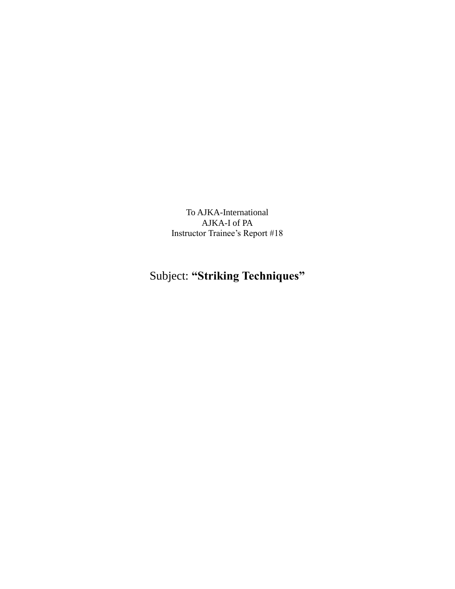To AJKA-International AJKA-I of PA Instructor Trainee's Report #18

# Subject: **"Striking Techniques"**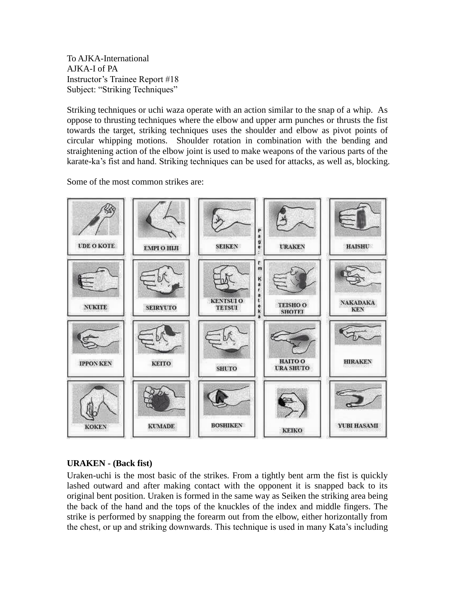To AJKA-International AJKA-I of PA Instructor's Trainee Report #18 Subject: "Striking Techniques"

Striking techniques or uchi waza operate with an action similar to the snap of a whip. As oppose to thrusting techniques where the elbow and upper arm punches or thrusts the fist towards the target, striking techniques uses the shoulder and elbow as pivot points of circular whipping motions. Shoulder rotation in combination with the bending and straightening action of the elbow joint is used to make weapons of the various parts of the karate-ka's fist and hand. Striking techniques can be used for attacks, as well as, blocking.

Some of the most common strikes are:



# **URAKEN - (Back fist)**

Uraken-uchi is the most basic of the strikes. From a tightly bent arm the fist is quickly lashed outward and after making contact with the opponent it is snapped back to its original bent position. Uraken is formed in the same way as Seiken the striking area being the back of the hand and the tops of the knuckles of the index and middle fingers. The strike is performed by snapping the forearm out from the elbow, either horizontally from the chest, or up and striking downwards. This technique is used in many Kata's including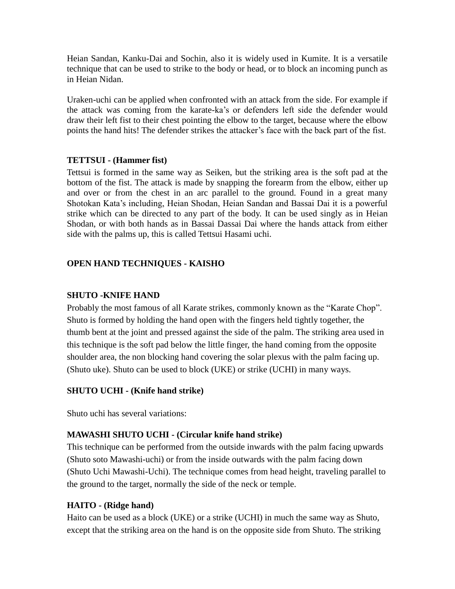Heian Sandan, Kanku-Dai and Sochin, also it is widely used in Kumite. It is a versatile technique that can be used to strike to the body or head, or to block an incoming punch as in Heian Nidan.

Uraken-uchi can be applied when confronted with an attack from the side. For example if the attack was coming from the karate-ka's or defenders left side the defender would draw their left fist to their chest pointing the elbow to the target, because where the elbow points the hand hits! The defender strikes the attacker's face with the back part of the fist.

#### **TETTSUI - (Hammer fist)**

Tettsui is formed in the same way as Seiken, but the striking area is the soft pad at the bottom of the fist. The attack is made by snapping the forearm from the elbow, either up and over or from the chest in an arc parallel to the ground. Found in a great many Shotokan Kata's including, Heian Shodan, Heian Sandan and Bassai Dai it is a powerful strike which can be directed to any part of the body. It can be used singly as in Heian Shodan, or with both hands as in Bassai Dassai Dai where the hands attack from either side with the palms up, this is called Tettsui Hasami uchi.

#### **OPEN HAND TECHNIQUES - KAISHO**

#### **SHUTO -KNIFE HAND**

Probably the most famous of all Karate strikes, commonly known as the "Karate Chop". Shuto is formed by holding the hand open with the fingers held tightly together, the thumb bent at the joint and pressed against the side of the palm. The striking area used in this technique is the soft pad below the little finger, the hand coming from the opposite shoulder area, the non blocking hand covering the solar plexus with the palm facing up. (Shuto uke). Shuto can be used to block (UKE) or strike (UCHI) in many ways.

#### **SHUTO UCHI - (Knife hand strike)**

Shuto uchi has several variations:

#### **MAWASHI SHUTO UCHI - (Circular knife hand strike)**

This technique can be performed from the outside inwards with the palm facing upwards (Shuto soto Mawashi-uchi) or from the inside outwards with the palm facing down (Shuto Uchi Mawashi-Uchi). The technique comes from head height, traveling parallel to the ground to the target, normally the side of the neck or temple.

#### **HAITO - (Ridge hand)**

Haito can be used as a block (UKE) or a strike (UCHI) in much the same way as Shuto, except that the striking area on the hand is on the opposite side from Shuto. The striking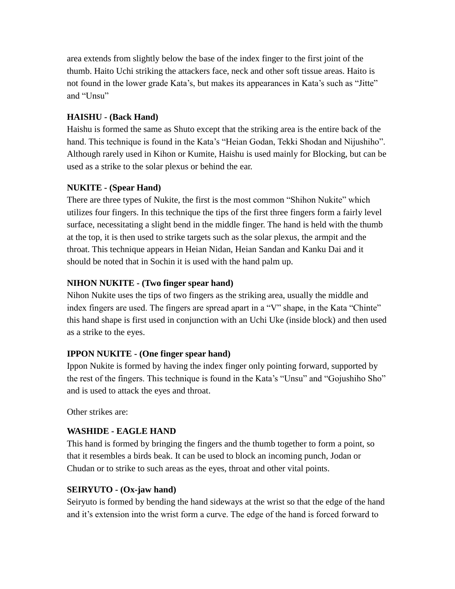area extends from slightly below the base of the index finger to the first joint of the thumb. Haito Uchi striking the attackers face, neck and other soft tissue areas. Haito is not found in the lower grade Kata's, but makes its appearances in Kata's such as "Jitte" and "Unsu"

## **HAISHU - (Back Hand)**

Haishu is formed the same as Shuto except that the striking area is the entire back of the hand. This technique is found in the Kata's "Heian Godan, Tekki Shodan and Nijushiho". Although rarely used in Kihon or Kumite, Haishu is used mainly for Blocking, but can be used as a strike to the solar plexus or behind the ear.

### **NUKITE - (Spear Hand)**

There are three types of Nukite, the first is the most common "Shihon Nukite" which utilizes four fingers. In this technique the tips of the first three fingers form a fairly level surface, necessitating a slight bend in the middle finger. The hand is held with the thumb at the top, it is then used to strike targets such as the solar plexus, the armpit and the throat. This technique appears in Heian Nidan, Heian Sandan and Kanku Dai and it should be noted that in Sochin it is used with the hand palm up.

### **NIHON NUKITE - (Two finger spear hand)**

Nihon Nukite uses the tips of two fingers as the striking area, usually the middle and index fingers are used. The fingers are spread apart in a "V" shape, in the Kata "Chinte" this hand shape is first used in conjunction with an Uchi Uke (inside block) and then used as a strike to the eyes.

# **IPPON NUKITE - (One finger spear hand)**

Ippon Nukite is formed by having the index finger only pointing forward, supported by the rest of the fingers. This technique is found in the Kata's "Unsu" and "Gojushiho Sho" and is used to attack the eyes and throat.

Other strikes are:

# **WASHIDE - EAGLE HAND**

This hand is formed by bringing the fingers and the thumb together to form a point, so that it resembles a birds beak. It can be used to block an incoming punch, Jodan or Chudan or to strike to such areas as the eyes, throat and other vital points.

# **SEIRYUTO - (Ox-jaw hand)**

Seiryuto is formed by bending the hand sideways at the wrist so that the edge of the hand and it's extension into the wrist form a curve. The edge of the hand is forced forward to